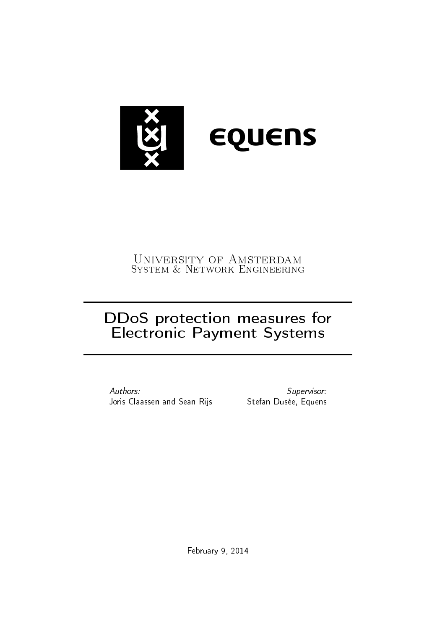

# University of Amsterdam System & Network Engineering

# DDoS protection measures for Electronic Payment Systems

Authors: Joris Claassen and Sean Rijs Stefan Dusée, Equens

Supervisor:

February 9, 2014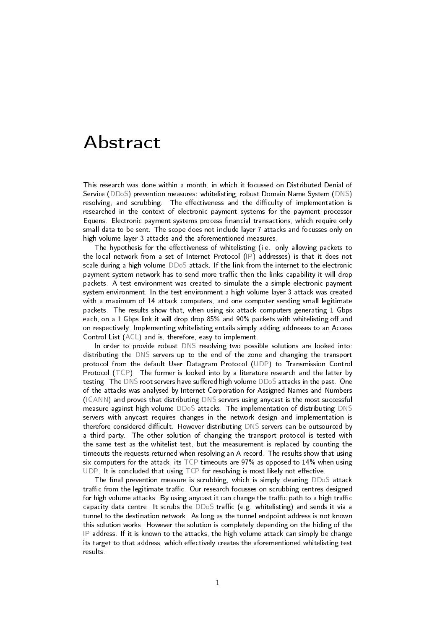# <span id="page-1-0"></span>Abstract

This research was done within a month, in which it focussed on Distributed Denial of Service [\(DDoS\)](#page-27-0) prevention measures: whitelisting, robust Domain Name System [\(DNS\)](#page-27-1) resolving, and scrubbing. The effectiveness and the difficulty of implementation is researched in the context of electronic payment systems for the payment processor Equens. Electronic payment systems process financial transactions, which require only small data to be sent. The scope does not include layer 7 attacks and focusses only on high volume layer 3 attacks and the aforementioned measures.

The hypothesis for the effectiveness of whitelisting (i.e. only allowing packets to the local network from a set of Internet Protocol [\(IP\)](#page-27-2) addresses) is that it does not scale during a high volume [DDoS](#page-27-0) attack. If the link from the internet to the electronic payment system network has to send more traffic then the links capability it will drop packets. A test environment was created to simulate the a simple electronic payment system environment. In the test environment a high volume layer 3 attack was created with a maximum of 14 attack computers, and one computer sending small legitimate packets. The results show that, when using six attack computers generating 1 Gbps each, on a 1 Gbps link it will drop drop 85% and 90% packets with whitelisting off and on respectively. Implementing whitelisting entails simply adding addresses to an Access Control List [\(ACL\)](#page-27-3) and is, therefore, easy to implement.

In order to provide robust [DNS](#page-27-1) resolving two possible solutions are looked into: distributing the [DNS](#page-27-1) servers up to the end of the zone and changing the transport protocol from the default User Datagram Protocol [\(UDP\)](#page-27-4) to Transmission Control Protocol [\(TCP\)](#page-27-5). The former is looked into by a literature research and the latter by testing. The [DNS](#page-27-1) root servers have suffered high volume  $DDoS$  attacks in the past. One of the attacks was analysed by Internet Corporation for Assigned Names and Numbers [\(ICANN\)](#page-27-6) and proves that distributing [DNS](#page-27-1) servers using anycast is the most successful measure against high volume [DDoS](#page-27-0) attacks. The implementation of distributing [DNS](#page-27-1) servers with anycast requires changes in the network design and implementation is therefore considered difficult. However distributing [DNS](#page-27-1) servers can be outsourced by a third party. The other solution of changing the transport protocol is tested with the same test as the whitelist test, but the measurement is replaced by counting the timeouts the requests returned when resolving an A record. The results show that using six computers for the attack, its [TCP](#page-27-5) timeouts are 97% as opposed to 14% when using [UDP.](#page-27-4) It is concluded that using  $\text{TCP}$  $\text{TCP}$  $\text{TCP}$  for resolving is most likely not effective.

The final prevention measure is scrubbing, which is simply cleaning  $DDoS$  attack traffic from the legitimate traffic. Our research focusses on scrubbing centres designed for high volume attacks. By using anycast it can change the traffic path to a high traffic capacity data centre. It scrubs the  $DDoS$  traffic (e.g. whitelisting) and sends it via a tunnel to the destination network. As long as the tunnel endpoint address is not known this solution works. However the solution is completely depending on the hiding of the [IP](#page-27-2) address. If it is known to the attacks, the high volume attack can simply be change its target to that address, which effectively creates the aforementioned whitelisting test results.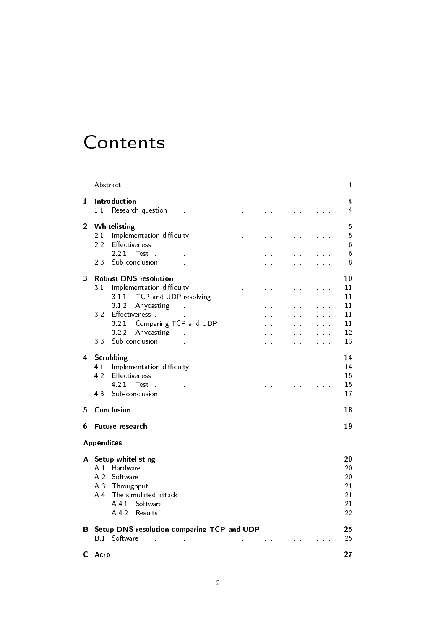# **Contents**

|                |                                                                                                                                                                                                                                       | 1                   |
|----------------|---------------------------------------------------------------------------------------------------------------------------------------------------------------------------------------------------------------------------------------|---------------------|
| 1              | Introduction<br>11                                                                                                                                                                                                                    | 4<br>$\overline{4}$ |
| $\overline{2}$ | Whitelisting                                                                                                                                                                                                                          | 5                   |
|                | Implementation difficulty and all the substitutions of the substitution of the substitution of the substitutio<br>21                                                                                                                  | 5                   |
|                | 2.2                                                                                                                                                                                                                                   | 6                   |
|                | 221<br>Test<br>23                                                                                                                                                                                                                     | 6<br>8              |
| 3              | <b>Robust DNS resolution</b>                                                                                                                                                                                                          | 10                  |
|                | Implementation difficulty and a contract the contract of the contract of<br>3 <sub>1</sub>                                                                                                                                            | 11                  |
|                | TCP and UDP resolving the state of the state of the state of the state of the state of the state of the state o<br>311                                                                                                                | 11                  |
|                | 312<br>Any casting the substitution of the substitution of the substitution of the substitution of the substitution of the substitution of the substitution of the substitution of the substitution of the substitution of the substi | 11                  |
|                | 32                                                                                                                                                                                                                                    | 11                  |
|                | 321                                                                                                                                                                                                                                   | 11                  |
|                | 322<br>33                                                                                                                                                                                                                             | 12<br>13            |
| 4              | Scrubbing                                                                                                                                                                                                                             | 14                  |
|                | Implementation difficulty the substitution of the substitution of the substitution of the substitution of the s<br>4.1                                                                                                                | 14                  |
|                | 42                                                                                                                                                                                                                                    | 15                  |
|                | 4 2 1<br>Test                                                                                                                                                                                                                         | 15                  |
|                | 43                                                                                                                                                                                                                                    | 17                  |
| 5              | Conclusion                                                                                                                                                                                                                            | 18                  |
| 6              | Future research                                                                                                                                                                                                                       | 19                  |
|                | <b>Appendices</b>                                                                                                                                                                                                                     |                     |
| A              | Setup whitelisting                                                                                                                                                                                                                    | 20                  |
|                | A 1                                                                                                                                                                                                                                   | 20                  |
|                | A.2                                                                                                                                                                                                                                   | 20                  |
|                | A <sub>3</sub><br>Throughput                                                                                                                                                                                                          | 21                  |
|                | A <sub>4</sub><br>The simulated attack the substitution of the simulated attack the substitution of the simulation of the simulation                                                                                                  | 21                  |
|                | A 4 1<br>A 4 2                                                                                                                                                                                                                        | 21<br>22            |
| В              | Setup DNS resolution comparing TCP and UDP                                                                                                                                                                                            | 25                  |
|                |                                                                                                                                                                                                                                       | 25                  |
| C.             | Acro                                                                                                                                                                                                                                  | 27                  |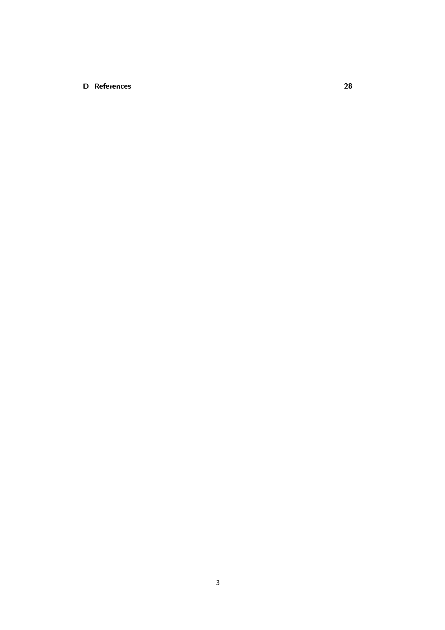#### [D References](#page-28-0) 28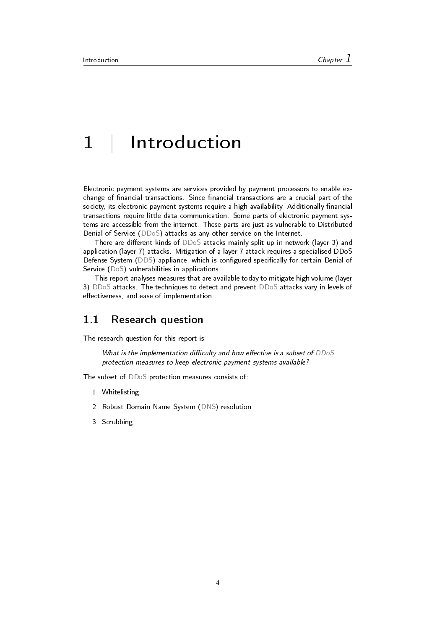# <span id="page-4-0"></span>1 | Introduction

Electronic payment systems are services provided by payment processors to enable exchange of financial transactions. Since financial transactions are a crucial part of the society, its electronic payment systems require a high availability. Additionally financial transactions require little data communication. Some parts of electronic payment systems are accessible from the internet. These parts are just as vulnerable to Distributed Denial of Service [\(DDoS\)](#page-27-0) attacks as any other service on the Internet.

There are different kinds of  $DDoS$  attacks mainly split up in network (layer 3) and application (layer 7) attacks. Mitigation of a layer 7 attack requires a specialised DDoS Defense System [\(DDS\)](#page-27-8) appliance, which is configured specifically for certain Denial of Service [\(DoS\)](#page-27-9) vulnerabilities in applications.

This report analyses measures that are available today to mitigate high volume (layer 3) [DDoS](#page-27-0) attacks. The techniques to detect and prevent [DDoS](#page-27-0) attacks vary in levels of effectiveness, and ease of implementation.

### <span id="page-4-1"></span>1.1 Research question

The research question for this report is:

What is the implementation difficulty and how effective is a subset of  $DDoS$ protection measures to keep electronic payment systems available?

The subset of [DDoS](#page-27-0) protection measures consists of:

- 1. Whitelisting
- 2. Robust Domain Name System [\(DNS\)](#page-27-1) resolution
- 3. Scrubbing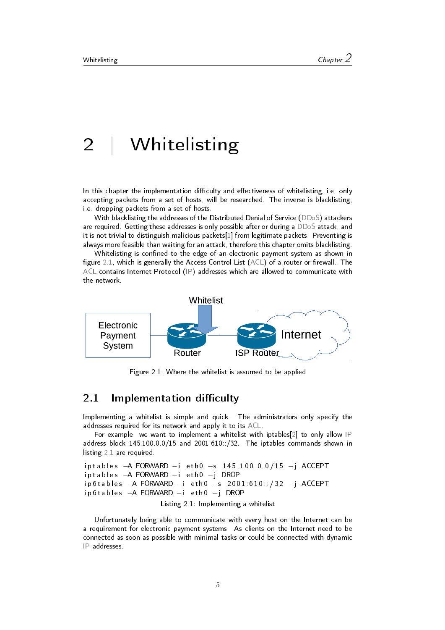# <span id="page-5-0"></span>2 | Whitelisting

In this chapter the implementation difficulty and effectiveness of whitelisting, i.e. only accepting packets from a set of hosts, will be researched. The inverse is blacklisting, i.e. dropping packets from a set of hosts.

With blacklisting the addresses of the Distributed Denial of Service [\(DDoS\)](#page-27-0) attackers are required. Getting these addresses is only possible after or during a [DDoS](#page-27-0) attack, and it is not trivial to distinguish malicious packets[\[1\]](#page-28-1) from legitimate packets. Preventing is always more feasible than waiting for an attack, therefore this chapter omits blacklisting.

Whitelisting is confined to the edge of an electronic payment system as shown in figure [2.1,](#page-5-3) which is generally the Access Control List  $(ACL)$  of a router or firewall. The [ACL](#page-27-3) contains Internet Protocol [\(IP\)](#page-27-2) addresses which are allowed to communicate with the network.

<span id="page-5-3"></span>

Figure 2.1: Where the whitelist is assumed to be applied

### <span id="page-5-1"></span>2.1 Implementation difficulty

Implementing a whitelist is simple and quick. The administrators only specify the addresses required for its network and apply it to its [ACL.](#page-27-3)

For example: we want to implement a whitelist with iptables[\[2\]](#page-28-2) to only allow [IP](#page-27-2) address block 145.100.0.0/15 and 2001:610::/32. The iptables commands shown in listing [2.1](#page-5-4) are required.

```
iptables −A FORWARD −i eth0 −s 145.100.0.0/15 −j ACCEPT
iptables −A FORWARD −i eth0 −j DROP
ip 6t a b l e s - A FORWARD −i et h 0 −s 2001:610::/32 −j ACCEPT
ip 6 t a b l e s −A FORWARD −i e t h 0 −j DROP
```
Listing 2.1: Implementing a whitelist

<span id="page-5-2"></span>Unfortunately being able to communicate with every host on the Internet can be a requirement for electronic payment systems. As clients on the Internet need to be connected as soon as possible with minimal tasks or could be connected with dynamic [IP](#page-27-2) addresses.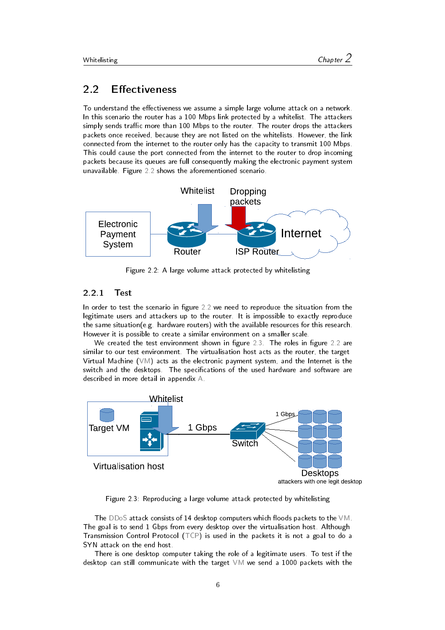## 2.2 Effectiveness

To understand the effectiveness we assume a simple large volume attack on a network. In this scenario the router has a 100 Mbps link protected by a whitelist. The attackers simply sends traffic more than 100 Mbps to the router. The router drops the attackers packets once received, because they are not listed on the whitelists. However, the link connected from the internet to the router only has the capacity to transmit 100 Mbps. This could cause the port connected from the internet to the router to drop incoming packets because its queues are full consequently making the electronic payment system unavailable. Figure [2.2](#page-6-1) shows the aforementioned scenario.

<span id="page-6-1"></span>

Figure 2.2: A large volume attack protected by whitelisting

#### <span id="page-6-0"></span>2.2.1 Test

In order to test the scenario in figure [2.2](#page-6-1) we need to reproduce the situation from the legitimate users and attackers up to the router. It is impossible to exactly reproduce the same situation(e.g. hardware routers) with the available resources for this research. However it is possible to create a similar environment on a smaller scale.

We created the test environment shown in figure [2.3.](#page-6-2) The roles in figure [2.2](#page-6-1) are similar to our test environment. The virtualisation host acts as the router, the target Virtual Machine  $(VM)$  acts as the electronic payment system, and the Internet is the switch and the desktops. The specifications of the used hardware and software are described in more detail in appendix [A.](#page-20-0)

<span id="page-6-2"></span>

Figure 2.3: Reproducing a large volume attack protected by whitelisting

The [DDoS](#page-27-0) attack consists of 14 desktop computers which floods packets to the  $VM$ . The goal is to send 1 Gbps from every desktop over the virtualisation host. Although Transmission Control Protocol [\(TCP\)](#page-27-5) is used in the packets it is not a goal to do a SYN attack on the end host.

There is one desktop computer taking the role of a legitimate users. To test if the desktop can still communicate with the target [VM](#page-27-10) we send a 1000 packets with the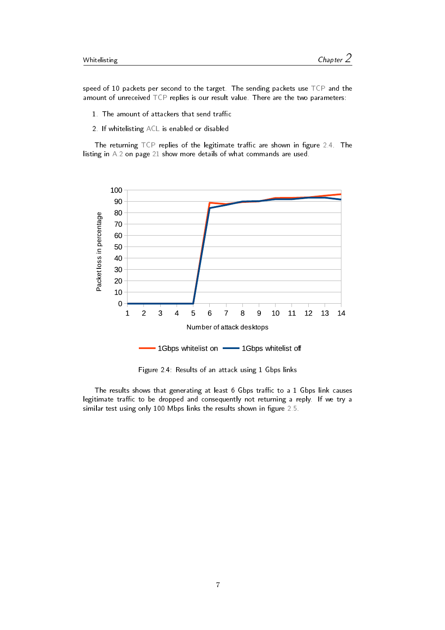speed of 10 packets per second to the target. The sending packets use [TCP](#page-27-5) and the amount of unreceived [TCP](#page-27-5) replies is our result value. There are the two parameters:

- 1. The amount of attackers that send traffic
- 2. If whitelisting [ACL](#page-27-3) is enabled or disabled

The returning  $TCP$  replies of the legitimate traffic are shown in figure [2.4.](#page-7-0) The listing in [A.2](#page-21-3) on page [21](#page-21-3) show more details of what commands are used.

<span id="page-7-0"></span>

Figure 2.4: Results of an attack using 1 Gbps links

The results shows that generating at least 6 Gbps traffic to a 1 Gbps link causes legitimate traffic to be dropped and consequently not returning a reply. If we try a similar test using only 100 Mbps links the results shown in figure [2.5.](#page-8-1)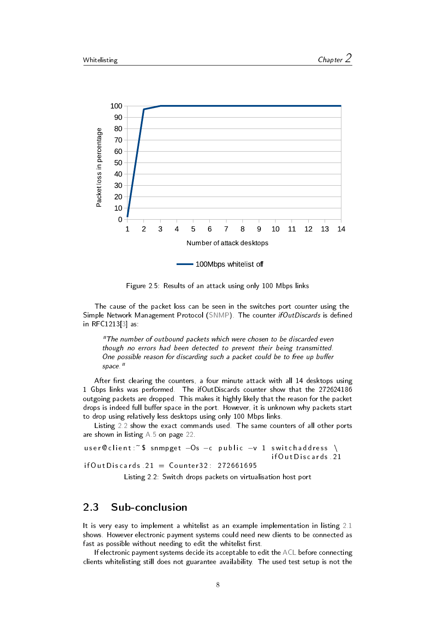<span id="page-8-1"></span>

Figure 2.5: Results of an attack using only 100 Mbps links

The cause of the packet loss can be seen in the switches port counter using the Simple Network Management Protocol [\(SNMP\)](#page-27-11). The counter ifOutDiscards is defined in RFC1213[\[3\]](#page-28-3) as:

"The number of outbound packets which were chosen to be discarded even though no errors had been detected to prevent their being transmitted. One possible reason for discarding such a packet could be to free up buffer space."

After first clearing the counters, a four minute attack with all 14 desktops using 1 Gbps links was performed. The ifOutDiscards counter show that the 272624186 outgoing packets are dropped. This makes it highly likely that the reason for the packet drops is indeed full buffer space in the port. However, it is unknown why packets start to drop using relatively less desktops using only 100 Mbps links.

Listing [2.2](#page-8-2) show the exact commands used. The same counters of all other ports are shown in listing [A.5](#page-22-1) on page [22.](#page-22-1)

```
user @ client :~ $ snmpget - Os - c public -v 1 switch address \
                                               if Out Discards 21
if Out Discards 21 = Counter 32: 272661695
```
Listing 2.2: Switch drops packets on virtualisation host port

## <span id="page-8-0"></span>2.3 Sub-conclusion

It is very easy to implement a whitelist as an example implementation in listing [2.1](#page-5-4) shows. However electronic payment systems could need new clients to be connected as fast as possible without needing to edit the whitelist first.

If electronic payment systems decide its acceptable to edit the [ACL](#page-27-3) before connecting clients whitelisting still does not guarantee availability. The used test setup is not the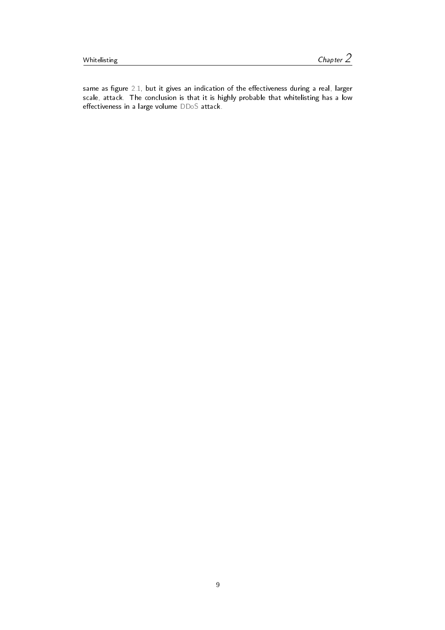same as figure [2.1,](#page-5-3) but it gives an indication of the effectiveness during a real, larger scale, attack. The conclusion is that it is highly probable that whitelisting has a low  $effectiveness$  in a large volume  $DDoS$  attack.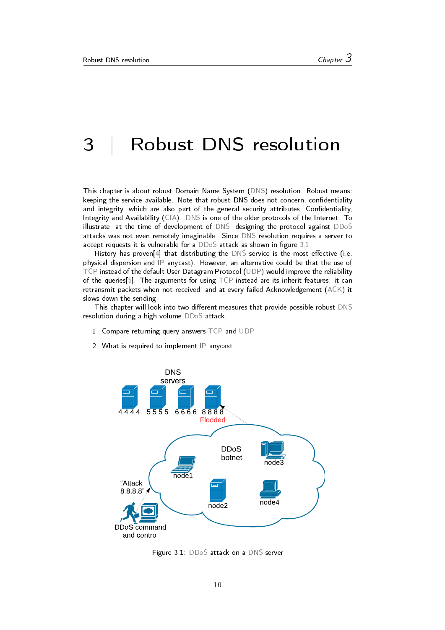# <span id="page-10-0"></span>3 | Robust DNS resolution

This chapter is about robust Domain Name System [\(DNS\)](#page-27-1) resolution. Robust means: keeping the service available. Note that robust DNS does not concern, confidentiality and integrity, which are also part of the general security attributes; Confidentiality, Integrity and Availability [\(CIA\)](#page-27-12). [DNS](#page-27-1) is one of the older protocols of the Internet. To illustrate, at the time of development of [DNS,](#page-27-1) designing the protocol against [DDoS](#page-27-0) attacks was not even remotely imaginable. Since [DNS](#page-27-1) resolution requires a server to accept requests it is vulnerable for a  $DDoS$  attack as shown in figure  $3.1$ .

History has proven[\[4\]](#page-28-4) that distributing the  $DNS$  service is the most effective (i.e. physical dispersion and [IP](#page-27-2) anycast). However, an alternative could be that the use of [TCP](#page-27-5) instead of the default User Datagram Protocol [\(UDP\)](#page-27-4) would improve the reliability of the queries[\[5\]](#page-28-5). The arguments for using [TCP](#page-27-5) instead are its inherit features: it can retransmit packets when not received, and at every failed Acknowledgement [\(ACK\)](#page-27-13) it slows down the sending.

This chapter will look into two different measures that provide possible robust [DNS](#page-27-1) resolution during a high volume [DDoS](#page-27-0) attack.

- 1. Compare returning query answers [TCP](#page-27-5) and [UDP](#page-27-4)
- 2. What is required to implement [IP](#page-27-2) anycast

<span id="page-10-2"></span>

<span id="page-10-1"></span>Figure 3.1: [DDoS](#page-27-0) attack on a [DNS](#page-27-1) server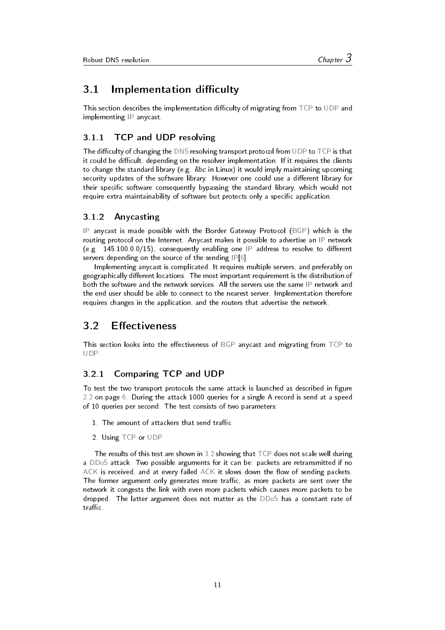### 3.1 Implementation difficulty

This section describes the implementation difficulty of migrating from [TCP](#page-27-5) to [UDP](#page-27-4) and implementing [IP](#page-27-2) anycast.

#### <span id="page-11-0"></span>3.1.1 TCP and UDP resolving

The difficulty of changing the [DNS](#page-27-1) resolving transport protocol from [UDP](#page-27-4) to  $\mathsf{TCP}$  $\mathsf{TCP}$  $\mathsf{TCP}$  is that it could be difficult, depending on the resolver implementation. If it requires the clients to change the standard library (e.g. *libc* in Linux) it would imply maintaining upcoming security updates of the software library. However one could use a different library for their specific software consequently bypassing the standard library, which would not require extra maintainability of software but protects only a specific application.

#### <span id="page-11-1"></span>3.1.2 Anycasting

[IP](#page-27-2) anycast is made possible with the Border Gateway Protocol [\(BGP\)](#page-27-14) which is the routing protocol on the Internet. Anycast makes it possible to advertise an [IP](#page-27-2) network (e.g.  $145.100.0.0/15$ ), consequently enabling one [IP](#page-27-2) address to resolve to different servers depending on the source of the sending [IP](#page-27-2)[\[6\]](#page-28-6).

Implementing anycast is complicated. It requires multiple servers, and preferably on geographically different locations. The most important requirement is the distribution of both the software and the network services. All the servers use the same [IP](#page-27-2) network and the end user should be able to connect to the nearest server. Implementation therefore requires changes in the application, and the routers that advertise the network.

### <span id="page-11-2"></span>3.2 Effectiveness

This section looks into the effectiveness of [BGP](#page-27-14) anycast and migrating from [TCP](#page-27-5) to [UDP.](#page-27-4)

#### <span id="page-11-3"></span>3.2.1 Comparing TCP and UDP

To test the two transport protocols the same attack is launched as described in figure [2.2](#page-6-1) on page [6.](#page-6-1) During the attack 1000 queries for a single A record is send at a speed of 10 queries per second. The test consists of two parameters:

- 1. The amount of attackers that send traffic
- 2. Using [TCP](#page-27-5) or [UDP](#page-27-4)

The results of this test are shown in  $3.2$  showing that  $TCP$  does not scale well during a [DDoS](#page-27-0) attack. Two possible arguments for it can be: packets are retransmitted if no  $ACK$  is received, and at every failed  $ACK$  it slows down the flow of sending packets. The former argument only generates more traffic, as more packets are sent over the network it congests the link with even more packets which causes more packets to be dropped. The latter argument does not matter as the [DDoS](#page-27-0) has a constant rate of traffic.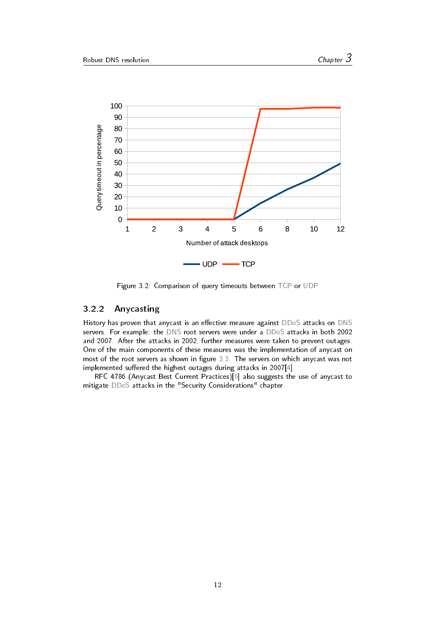<span id="page-12-1"></span>

Figure 3.2: Comparison of query timeouts between [TCP](#page-27-5) or [UDP](#page-27-4)

#### <span id="page-12-0"></span>3.2.2 Anycasting

History has proven that anycast is an effective measure against [DDoS](#page-27-0) attacks on [DNS](#page-27-1) servers. For example: the [DNS](#page-27-1) root servers were under a [DDoS](#page-27-0) attacks in both 2002 and 2007. After the attacks in 2002, further measures were taken to prevent outages. One of the main components of these measures was the implementation of anycast on most of the root servers as shown in figure [3.3.](#page-13-1) The servers on which anycast was not implemented suffered the highest outages during attacks in 2007 $[4]$ .

RFC 4786 (Anycast Best Current Practices)[\[6\]](#page-28-6) also suggests the use of anycast to mitigate [DDoS](#page-27-0) attacks in the "Security Considerations" chapter.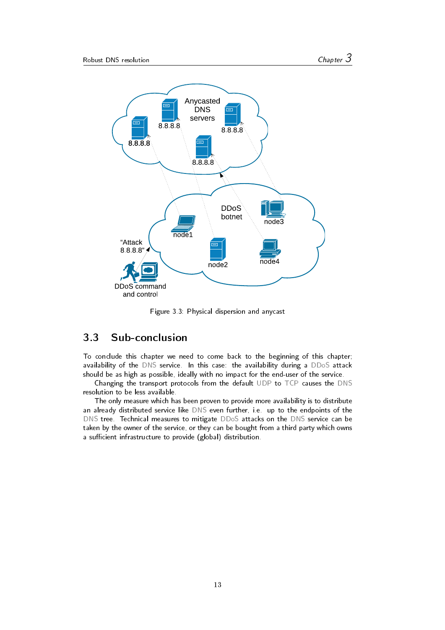<span id="page-13-1"></span>

Figure 3.3: Physical dispersion and anycast

# <span id="page-13-0"></span>3.3 Sub-conclusion

To conclude this chapter we need to come back to the beginning of this chapter; availability of the [DNS](#page-27-1) service. In this case: the availability during a [DDoS](#page-27-0) attack should be as high as possible, ideally with no impact for the end-user of the service.

Changing the transport protocols from the default [UDP](#page-27-4) to [TCP](#page-27-5) causes the [DNS](#page-27-1) resolution to be less available.

The only measure which has been proven to provide more availability is to distribute an already distributed service like [DNS](#page-27-1) even further, i.e. up to the endpoints of the [DNS](#page-27-1) tree. Technical measures to mitigate [DDoS](#page-27-0) attacks on the [DNS](#page-27-1) service can be taken by the owner of the service, or they can be bought from a third party which owns a sufficient infrastructure to provide (global) distribution.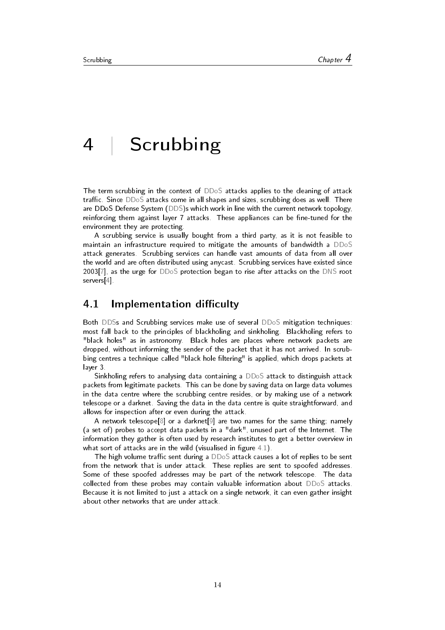# <span id="page-14-0"></span>4 | Scrubbing

The term scrubbing in the context of [DDoS](#page-27-0) attacks applies to the cleaning of attack traffic. Since [DDoS](#page-27-0) attacks come in all shapes and sizes, scrubbing does as well. There are DDoS Defense System [\(DDS\)](#page-27-8)s which work in line with the current network topology, reinforcing them against layer 7 attacks. These appliances can be fine-tuned for the environment they are protecting.

A scrubbing service is usually bought from a third party, as it is not feasible to maintain an infrastructure required to mitigate the amounts of bandwidth a [DDoS](#page-27-0) attack generates. Scrubbing services can handle vast amounts of data from all over the world and are often distributed using anycast. Scrubbing services have existed since 2003[\[7\]](#page-28-7), as the urge for [DDoS](#page-27-0) protection began to rise after attacks on the [DNS](#page-27-1) root servers[\[4\]](#page-28-4).

#### <span id="page-14-1"></span>4.1 Implementation difficulty

Both [DDSs](#page-27-8) and Scrubbing services make use of several [DDoS](#page-27-0) mitigation techniques: most fall back to the principles of blackholing and sinkholing. Blackholing refers to "black holes" as in astronomy. Black holes are places where network packets are dropped, without informing the sender of the packet that it has not arrived. In scrubbing centres a technique called "black hole filtering" is applied, which drops packets at layer 3.

Sinkholing refers to analysing data containing a [DDoS](#page-27-0) attack to distinguish attack packets from legitimate packets. This can be done by saving data on large data volumes in the data centre where the scrubbing centre resides, or by making use of a network telescope or a darknet. Saving the data in the data centre is quite straightforward, and allows for inspection after or even during the attack.

A network telescope[\[8\]](#page-28-8) or a darknet[\[9\]](#page-28-9) are two names for the same thing; namely (a set of) probes to accept data packets in a "dark", unused part of the Internet. The information they gather is often used by research institutes to get a better overview in what sort of attacks are in the wild (visualised in figure  $4.1$ ).

The high volume traffic sent during a  $DDoS$  attack causes a lot of replies to be sent from the network that is under attack. These replies are sent to spoofed addresses. Some of these spoofed addresses may be part of the network telescope. The data collected from these probes may contain valuable information about [DDoS](#page-27-0) attacks. Because it is not limited to just a attack on a single network, it can even gather insight about other networks that are under attack.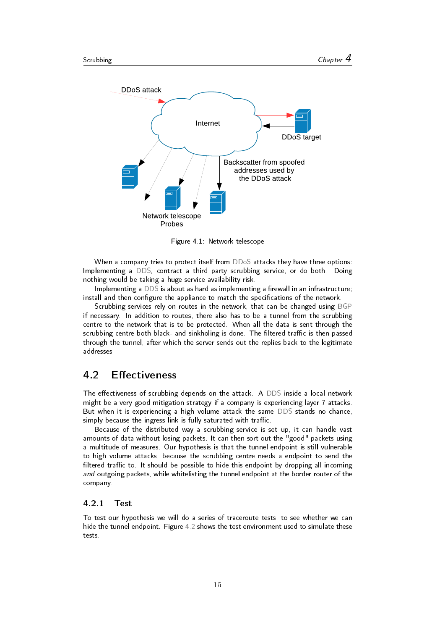<span id="page-15-2"></span>

Figure 4.1: Network telescope

When a company tries to protect itself from [DDoS](#page-27-0) attacks they have three options: Implementing a [DDS,](#page-27-8) contract a third party scrubbing service, or do both. Doing nothing would be taking a huge service availability risk.

Implementing a [DDS](#page-27-8) is about as hard as implementing a firewall in an infrastructure; install and then configure the appliance to match the specifications of the network.

Scrubbing services rely on routes in the network, that can be changed using [BGP](#page-27-14) if necessary. In addition to routes, there also has to be a tunnel from the scrubbing centre to the network that is to be protected. When all the data is sent through the scrubbing centre both black- and sinkholing is done. The filtered traffic is then passed through the tunnel, after which the server sends out the replies back to the legitimate addresses.

## <span id="page-15-0"></span>4.2 Effectiveness

The effectiveness of scrubbing depends on the attack. A [DDS](#page-27-8) inside a local network might be a very good mitigation strategy if a company is experiencing layer 7 attacks. But when it is experiencing a high volume attack the same [DDS](#page-27-8) stands no chance, simply because the ingress link is fully saturated with traffic.

Because of the distributed way a scrubbing service is set up, it can handle vast amounts of data without losing packets. It can then sort out the "good" packets using a multitude of measures. Our hypothesis is that the tunnel endpoint is still vulnerable to high volume attacks, because the scrubbing centre needs a endpoint to send the filtered traffic to. It should be possible to hide this endpoint by dropping all incoming and outgoing packets, while whitelisting the tunnel endpoint at the border router of the company.

#### <span id="page-15-1"></span>4.2.1 Test

To test our hypothesis we will do a series of traceroute tests, to see whether we can hide the tunnel endpoint. Figure [4.2](#page-16-0) shows the test environment used to simulate these tests.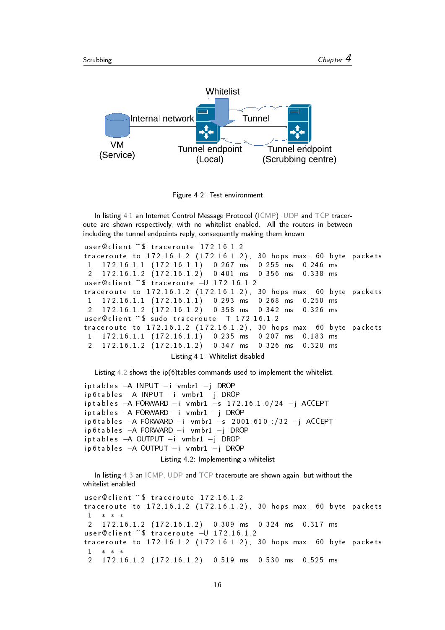<span id="page-16-0"></span>

Figure 4.2: Test environment

In listing [4.1](#page-16-1) an Internet Control Message Protocol [\(ICMP\)](#page-27-15), [UDP](#page-27-4) and [TCP](#page-27-5) traceroute are shown respectively, with no whitelist enabled. All the routers in between including the tunnel endpoints reply, consequently making them known.

```
user @ client :~ $ traceroute 172.16.1.2
traceroute to 172.16.1.2 (172.16.1.2), 30 hops max, 60 byte packets
1 172 16 1 1 (172 16 1 1) 0 267 ms 0 255 ms 0 246 ms
2 1 7 2 . 1 6 . 1 . 2 ( 1 7 2 . 1 6 . 1 . 2 ) 0 . 4 0 1 ms 0 . 3 5 6 ms 0 . 3 3 8 ms
user @ client :~ $ traceroute - U 172.16.1.2
traceroute to 172.16.1.2 (172.16.1.2). 30 hops max, 60 byte packets
1 1 7 2 1 6 1 1 1 1 1 2 1 6 1 1 1 0 2 9 3 ms 0 2 6 8 ms 0 2 5 0 ms
2 1 7 2 1 6 1 2 (172.16.1.2) 0 3 5 8 ms 0 3 4 2 ms 0 3 2 6 ms
user @ client :~ $ sudo traceroute -T 172.16.1.2
traceroute to 172.16.1.2 (172.16.1.2), 30 hops max, 60 byte packets
1 1 7 2 1 6 1 1 1 1 1 2 1 6 1 1 1 0 2 3 5 ms 0 2 0 7 ms 0 1 8 3 ms
2 1 7 2 . 1 6 . 1 . 2 ( 1 7 2 . 1 6 . 1 . 2 ) 0 . 3 4 7 ms 0 . 3 2 6 ms 0 . 3 2 0 ms
                      Listing 4.1: Whitelist disabled
```
Listing [4.2](#page-16-2) shows the ip(6)tables commands used to implement the whitelist.

```
iptables −A INPUT −i vmbr1 −j DROP
ip 6 t a bles −A INPUT −i vmbr1 −j DROP
iptables −A FORWARD −i vmbr1 −s 172.16.1.0/24 −j ACCEPT
i p t a b l e s −A FORWARD −i vmbr1 −j DROP
ip 6t a bles −A FORWARD −i vmbr1 −s 2001:610::/32 −j ACCEPT
ip 6 t a b l e s − A FORWARD −i vmbr1 −j DROP
iptables −A OUTPUT −i vmbr1 −j DROP
ip 6 t a b l e s - A OUTPUT - i vm b r 1 -j DROP
                   Listing 4.2: Implementing a whitelist
```
In listing [4.3](#page-16-3) an [ICMP,](#page-27-15) [UDP](#page-27-4) and [TCP](#page-27-5) traceroute are shown again, but without the whitelist enabled.

```
user@client ~$ traceroute 172 16 1 2
traceroute to 172.16.1.2 (172.16.1.2), 30 hops max, 60 byte packets
1 ∗ ∗ ∗
2 1 7 2 1 6 1 2 ( 1 7 2 1 6 1 . 2 ) 0 . 3 0 9 ms 0 . 3 2 4 ms 0 . 3 1 7 ms
user @ client :~ $ traceroute - U 172 16 1 2
traceroute to 172.16.1.2 (172.16.1.2), 30 hops max, 60 byte packets
1 ∗ ∗ ∗
2 1 7 2 . 1 6 . 1 . 2 ( 1 7 2 . 1 6 . 1 . 2 ) 0 . 5 1 9 ms 0 . 5 3 0 ms 0 . 5 2 5 ms
```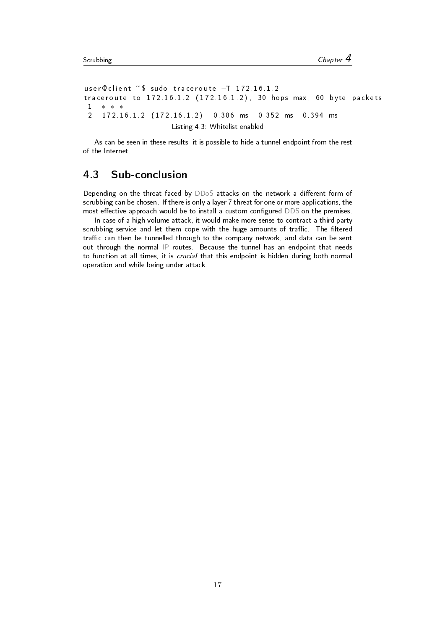user @ client :~ \$ sudo traceroute -T 172 16 1 2 traceroute to  $172.16.1.2$   $(172.16.1.2)$ , 30 hops max, 60 byte packets 1 ∗ ∗ ∗ 2 1 7 2 . 1 6 . 1 . 2 ( 1 7 2 . 1 6 . 1 . 2 ) 0 . 3 8 6 ms 0 . 3 5 2 ms 0 . 3 9 4 ms Listing 4.3: Whitelist enabled

<span id="page-17-0"></span>As can be seen in these results, it is possible to hide a tunnel endpoint from the rest of the Internet.

### 4.3 Sub-conclusion

Depending on the threat faced by  $DDoS$  attacks on the network a different form of scrubbing can be chosen. If there is only a layer 7 threat for one or more applications, the most effective approach would be to install a custom configured [DDS](#page-27-8) on the premises.

In case of a high volume attack, it would make more sense to contract a third party scrubbing service and let them cope with the huge amounts of traffic. The filtered traffic can then be tunnelled through to the company network, and data can be sent out through the normal [IP](#page-27-2) routes. Because the tunnel has an endpoint that needs to function at all times, it is crucial that this endpoint is hidden during both normal operation and while being under attack.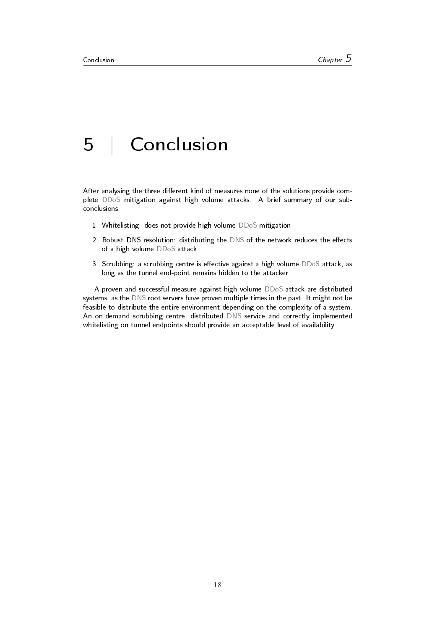# <span id="page-18-0"></span>5 | Conclusion

After analysing the three different kind of measures none of the solutions provide complete [DDoS](#page-27-0) mitigation against high volume attacks. A brief summary of our subconclusions:

- 1. Whitelisting: does not provide high volume [DDoS](#page-27-0) mitigation
- 2. Robust [DNS](#page-27-1) resolution: distributing the DNS of the network reduces the effects of a high volume [DDoS](#page-27-0) attack
- 3. Scrubbing: a scrubbing centre is effective against a high volume [DDoS](#page-27-0) attack, as long as the tunnel end-point remains hidden to the attacker

A proven and successful measure against high volume [DDoS](#page-27-0) attack are distributed systems, as the [DNS](#page-27-1) root servers have proven multiple times in the past. It might not be feasible to distribute the entire environment depending on the complexity of a system. An on-demand scrubbing centre, distributed [DNS](#page-27-1) service and correctly implemented whitelisting on tunnel endpoints should provide an acceptable level of availability.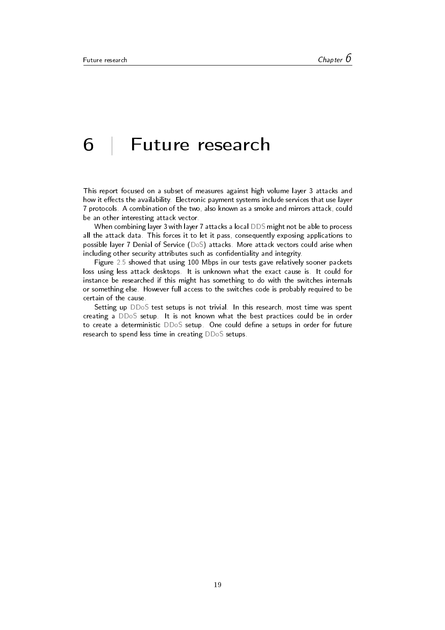# <span id="page-19-0"></span>6 | Future research

This report focused on a subset of measures against high volume layer 3 attacks and how it effects the availability. Electronic payment systems include services that use layer 7 protocols. A combination of the two, also known as a smoke and mirrors attack, could be an other interesting attack vector.

When combining layer 3 with layer 7 attacks a local [DDS](#page-27-8) might not be able to process all the attack data. This forces it to let it pass, consequently exposing applications to possible layer 7 Denial of Service [\(DoS\)](#page-27-9) attacks. More attack vectors could arise when including other security attributes such as confidentiality and integrity.

Figure [2.5](#page-8-1) showed that using 100 Mbps in our tests gave relatively sooner packets loss using less attack desktops. It is unknown what the exact cause is. It could for instance be researched if this might has something to do with the switches internals or something else. However full access to the switches code is probably required to be certain of the cause.

Setting up [DDoS](#page-27-0) test setups is not trivial. In this research, most time was spent creating a [DDoS](#page-27-0) setup. It is not known what the best practices could be in order to create a deterministic  $DDoS$  setup. One could define a setups in order for future research to spend less time in creating [DDoS](#page-27-0) setups.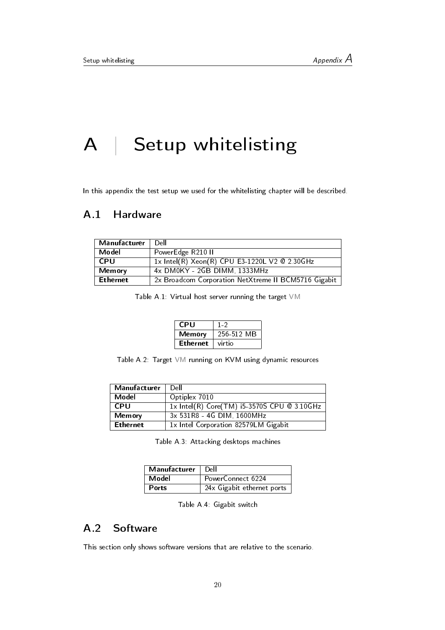# <span id="page-20-0"></span>A | Setup whitelisting

<span id="page-20-1"></span>In this appendix the test setup we used for the whitelisting chapter will be described.

### A.1 Hardware

| Manufacturer    | Dell                                                 |
|-----------------|------------------------------------------------------|
| Model           | PowerEdge R210 II                                    |
| <b>CPU</b>      | 1x Intel(R) Xeon(R) CPU E3-1220L V2 @ 2.30GHz        |
| <b>Memory</b>   | 4x DM0KY - 2GB DIMM, 1333MHz                         |
| <b>Ethernet</b> | 2x Broadcom Corporation NetXtreme II BCM5716 Gigabit |

Table A.1: Virtual host server running the target [VM](#page-27-10)

| CPU             | $1 - 2$    |
|-----------------|------------|
| Memory          | 256-512 MB |
| <b>Ethernet</b> | virtio     |

Table A.2: Target [VM](#page-27-10) running on KVM using dynamic resources

| Manufacturer    | Dell                                        |
|-----------------|---------------------------------------------|
| Model           | Optiplex 7010                               |
| <b>CPU</b>      | 1x Intel(R) Core(TM) i5-3570S CPU @ 3.10GHz |
| Memory          | 3x 531R8 - 4G DIM, 1600MHz                  |
| <b>Ethernet</b> | 1x Intel Corporation 82579LM Gigabit        |

Table A.3: Attacking desktops machines

| Manufacturer | Dell                       |
|--------------|----------------------------|
| Model        | PowerConnect 6224          |
| Ports        | 24x Gigabit ethernet ports |

Table A.4: Gigabit switch

## <span id="page-20-2"></span>A.2 Software

This section only shows software versions that are relative to the scenario.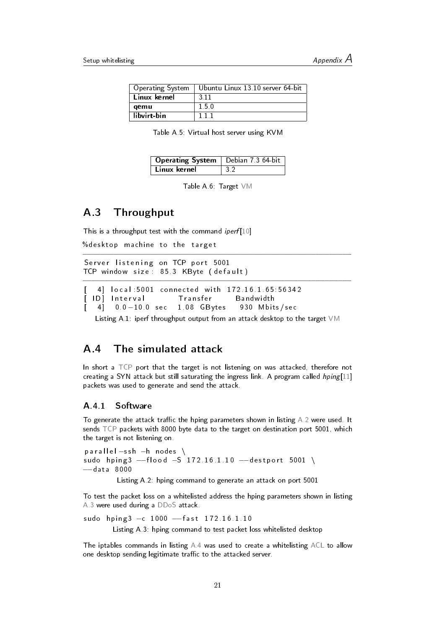| Operating System | Ubuntu Linux 13.10 server 64-bit |
|------------------|----------------------------------|
| Linux kernel     | 3.11                             |
| qemu             | 15.0                             |
| libvirt-bin      | 111                              |

Table A.5: Virtual host server using KVM

| <b>Operating System</b>   Debian 7 3 64-bit |  |
|---------------------------------------------|--|
| Linux kernel                                |  |

Table A.6: Target [VM](#page-27-10)

−−−−−−−−−−−−−−−−−−−−−−−−−−−−−−−−−−−−−−−−−−−−−−−−−−−−−−−−−−−−

−−−−−−−−−−−−−−−−−−−−−−−−−−−−−−−−−−−−−−−−−−−−−−−−−−−−−−−−−−−−

### <span id="page-21-0"></span>A.3 Throughput

This is a throughput test with the command *iperf* [\[10\]](#page-28-10)

```
%desktop machine to the target
```
Server listening on TCP port 5001 TCP window size: 85.3 KByte (default)

```
[ 4] local:5001 connected with 172.16.1.65:56342
[ ID ] Interval Transfer Bandwidth
\begin{bmatrix} 4 & 0.0 & -10.0 & \text{sec} & 1.08 & \text{GBytes} & 930 & \text{Mbits/sec} \end{bmatrix}
```
Listing A.1: iperf throughput output from an attack desktop to the target [VM](#page-27-10)

### <span id="page-21-1"></span>A.4 The simulated attack

In short a [TCP](#page-27-5) port that the target is not listening on was attacked, therefore not creating a SYN attack but still saturating the ingress link. A program called  $hping[11]$  $hping[11]$ packets was used to generate and send the attack.

#### <span id="page-21-2"></span>A.4.1 Software

To generate the attack traffic the hping parameters shown in listing  $A.2$  were used. It sends [TCP](#page-27-5) packets with 8000 byte data to the target on destination port 5001, which the target is not listening on.

<span id="page-21-3"></span>p a r all el -ssh -h n o des \ sudo hping3 --flood -S 172 16 1 10 -- destport 5001 \ −−da ta 8000

Listing A.2: hping command to generate an attack on port 5001

To test the packet loss on a whitelisted address the hping parameters shown in listing [A.3](#page-21-4) were used during a [DDoS](#page-27-0) attack.

<span id="page-21-4"></span>sudo hping 3 -c 1000 -- fast 172.16.1.10 Listing A.3: hping command to test packet loss whitelisted desktop

The iptables commands in listing [A.4](#page-22-2) was used to create a whitelisting [ACL](#page-27-3) to allow one desktop sending legitimate traffic to the attacked server.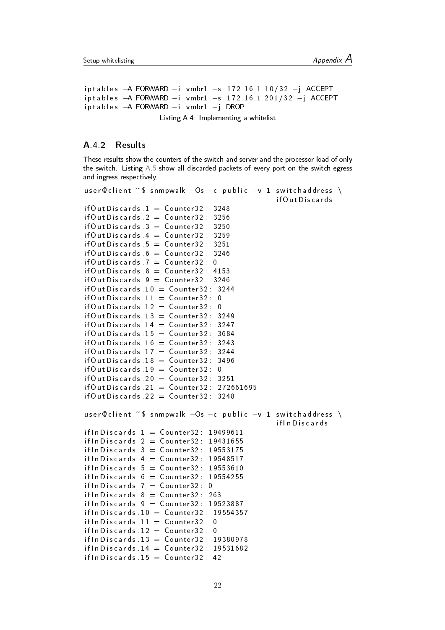```
iptables −A FORWARD −i vmbr1 −s 172.16.1.10/32 −j ACCEPT
iptables −A FORWARD −i vmbr1 −s 172.16.1.201/32 −j ACCEPT
iptables −A FORWARD −i vmbr1 −j DROP
```
Listing A.4: Implementing a whitelist

#### <span id="page-22-0"></span>A.4.2 Results

These results show the counters of the switch and server and the processor load of only the switch. Listing [A.5](#page-22-1) show all discarded packets of every port on the switch egress and ingress respectively.

```
user @ client :~ $ snmpwalk -Os -c public -v 1 switch address \
                                                if Out Discards
if Out Discards 1 = Counter 32: 3248
if Out Discards 2 = Counter 32: 3256
if Out Discards 3 = Counter 32: 3250
if Out D iscards 4 = Counter 32: 3259
if Out Discards 5 = Counter 32: 3251
if Out Discards 6 = Counter 32: 3246
if Out Discards 7 = Counter 32: 0
if Out Discards 8 = Counter 32: 4153
if Out Discards 9 = Counter 32: 3246
if Out Discards .10 = Counter 32: 3244
if Out Discards 11 = Counter 32: 0
if Out Discards 12 = Counter 32: 0
if Out Discards 13 = Counter 32: 3249
if 0 ut D iscards 14 = Counter 32: 3247
if Out D iscards 15 = Counter 32 : 3684
if Out D iscards 16 = Counter 32: 3243
if Out Discards 17 = Counter 32: 3244
if Out Discards .18 = Counter 32: 3496
if OutDiscards 19 = Counter32 : 0if 0ut Discards 20 = Counter 32: 3251
if 0 ut Discards 21 = Counter32 : 272661695if Out Discards 22 = Counter 32: 3248
user @ client :~ $ snmpwalk - Os - c public -v 1 switch address \
                                                 if In Discards
if In Discards 1 = Counter 32: 19499611
if In Discards 2 = Counter 32: 19431655
if In Discards 3 = Counter 32: 19553175
if In Discards 4 = Counter 32: 19548517
if ln D is cards 5 = Counter32 : 19553610if In Discards 6 = Counter 32: 19554255
if In Discards 7 = Counter 32 : 0
if In Discards 8 = Counter 32: 263
if In Discards 9 = Counter 32: 19523887
if ln Discards 10 = Counter32 : 19554357if ln D is cards 11 = Counter 32 : 0if l n D is c a rds 12 = Counter 32 : 0
if In Discards 13 = Counter 32: 19380978
if ln D is card s 14 = Counter 32 : 19531682
if ln D is cards 15 = Counter 32 : 42
```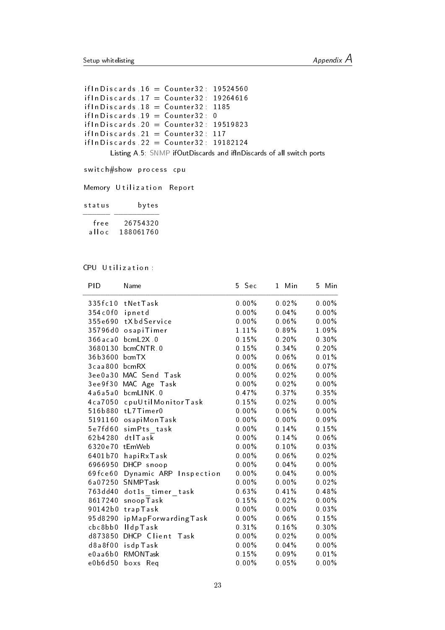```
if ln D is c and s. 16 = Counter 32 : 19524560if In Discards 17 = Counter 32: 19264616
if In Discards 18 = Counter 32: 1185
if l n D iscards .19 = Counter 32 : 0
if ln D is c and s. 20 = Counter 32 : 19519823if In Discards 21 = Counter 32: 117
if ln D is card s . 22 = Counter 32 : 19182124Listing A.5: SNMP ifOutDiscards and ifInDiscards of all switch ports
```
switch#show process cpu

Memory Utilization Report

| status | bytes     |
|--------|-----------|
| free   | 26754320  |
| alloc  | 188061760 |

#### CPU Utilization:

| PID            | Name                   | 5 Sec    | Min<br>1 | Min<br>5 |
|----------------|------------------------|----------|----------|----------|
|                | 335fc10 tNetTask       | $0.00\%$ | 0.02%    | $0.00\%$ |
| 354c0f0        | ipnetd                 | $0.00\%$ | 0.04%    | $0.00\%$ |
| 355e690        | tXbdService            | $0.00\%$ | 0.06%    | $0.00\%$ |
| 35796d0        | osapiTimer             | 1.11%    | $0.89\%$ | 1.09%    |
| $366$ aca $0$  | bcmL2X 0               | 0.15%    | 0.20%    | $0.30\%$ |
| 3680130        | bcmCNTR 0              | 0.15%    | 0.34%    | 0.20%    |
| 36b3600        | bcm TX                 | $0.00\%$ | 0.06%    | 0.01%    |
| 3caa800        | bcmRX                  | $0.00\%$ | 0.06%    | $0.07\%$ |
| 3ee0a30        | MAC Send Task          | $0.00\%$ | 0.02%    | $0.00\%$ |
| 3ee9f30        | MAC Age Task           | $0.00\%$ | $0.02\%$ | $0.00\%$ |
| 4a6a5a0        | bcmLINK 0              | 0.47%    | 0.37%    | 0.35%    |
| 4ca7050        | cpuUtilMonitorTask     | 0.15%    | $0.02\%$ | $0.00\%$ |
| 516b880        | tL7Timer0              | $0.00\%$ | $0.06\%$ | $0.00\%$ |
| 5191160        | osapiMonTask           | $0.00\%$ | $0.00\%$ | 0.09%    |
| 5e7fd60        | sim Pts task           | $0.00\%$ | 0.14%    | 0.15%    |
| 62b4280        | dtlTask                | $0.00\%$ | 0.14%    | $0.06\%$ |
| 6320e70 tEmWeb |                        | $0.00\%$ | 0.10%    | 0.03%    |
| 6401b70        | hapiRxTask             | $0.00\%$ | 0.06%    | 0.02%    |
| 6966950        | DHCP snoop             | $0.00\%$ | 0.04%    | $0.00\%$ |
| 69 fce 60      | Dynamic ARP Inspection | $0.00\%$ | 0.04%    | $0.00\%$ |
| 6a07250        | SNMPTask               | $0.00\%$ | $0.00\%$ | 0.02%    |
| 763dd40        | dot1s timer task       | 0.63%    | 0.41%    | 0.48%    |
| 8617240        | snoopTask              | 0.15%    | 0.02%    | $0.00\%$ |
| 90142b0        | trapTask               | $0.00\%$ | $0.00\%$ | $0.03\%$ |
| 95d8290        | ip MapForwarding Task  | $0.00\%$ | $0.06\%$ | 0.15%    |
| cbc8bb0        | <b>IldpTask</b>        | 0.31%    | 0.16%    | $0.30\%$ |
| d873850        | DHCP Client Task       | $0.00\%$ | $0.02\%$ | $0.00\%$ |
| d8a8f00        | isdpTask               | $0.00\%$ | $0.04\%$ | $0.00\%$ |
| e0aa6b0        | RMONTask               | 0.15%    | 0.09%    | 0.01%    |
| e0b6d50        | boxs Req               | $0.00\%$ | 0.05%    | $0.00\%$ |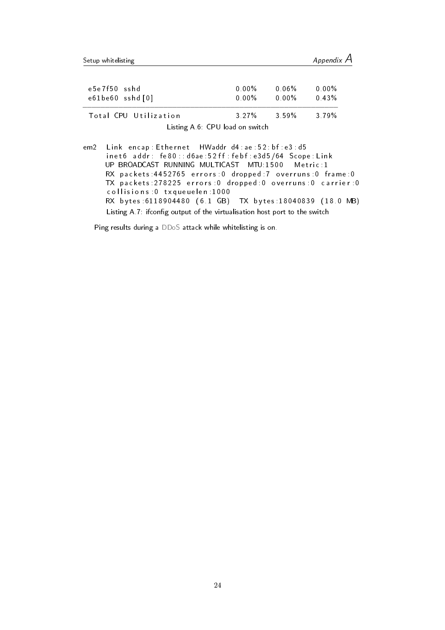Listing A.6: CPU load on switch

em2 Link encap: Ethernet HWaddr d4:ae: 52: bf: e3: d5 in et 6 add r: fe 80 : : d 6 a e : 52 f f : f e b f : e 3 d 5 / 64 Scope : L in k UP BROADCAST RUNNING MULTICAST MTU:1500 Metric:1 RX packets: 4452765 errors: 0 dropped: 7 overruns: 0 frame: 0 TX packets 278225 errors 0 dropped 0 overruns 0 carrier 0 collisions : 0 txqueu elen : 1000 RX bytes: 6118904480 (6.1 GB) TX bytes: 18040839 (18.0 MB) Listing A.7: ifconfig output of the virtualisation host port to the switch

Ping results during a [DDoS](#page-27-0) attack while whitelisting is on.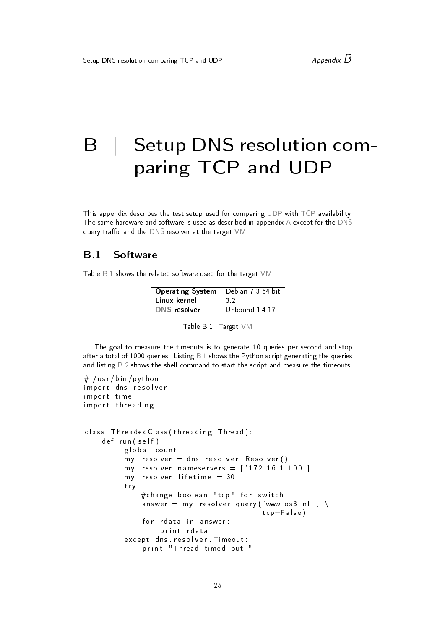# <span id="page-25-0"></span>B Setup DNS resolution comparing TCP and UDP

This appendix describes the test setup used for comparing [UDP](#page-27-4) with [TCP](#page-27-5) availability. The same hardware and software is used as described in appendix [A](#page-20-0) except for the [DNS](#page-27-1) query traffic and the  $DNS$  resolver at the target  $VM$ .

### <span id="page-25-1"></span>B.1 Software

<span id="page-25-2"></span>Table [B.1](#page-25-2) shows the related software used for the target [VM.](#page-27-10)

| <b>Operating System</b> | Debian 7 3 64-bit |
|-------------------------|-------------------|
| Linux kernel            | 32                |
| <b>DNS</b> resolver     | Unbound 14.17     |

| Table B 1: Target VM |  |  |  |  |
|----------------------|--|--|--|--|
|----------------------|--|--|--|--|

The goal to measure the timeouts is to generate 10 queries per second and stop after a total of 1000 queries. Listing  $B.1$  shows the Python script generating the queries and listing  $B.2$  shows the shell command to start the script and measure the timeouts.

```
\#!/usr/bin/python
im port dns resolver
im port time
im p ort threading
class Threaded Class (threading Thread):
    def run (self):
          global count
          my\_resolver = dns. resolver. Resolver()my\_resolver \text{, } name servers = ['172.16.1.100']my resolver lifetime = 30
          t r y \overline{t}#change boolean "tcp" for switch
               answer = my resolver query ('www. os 3 . nl', \setminustcp = False)
               for rdata in answer:
                    print rdata
          except dns resolver Timeout:
               print "Thread timed out ."
```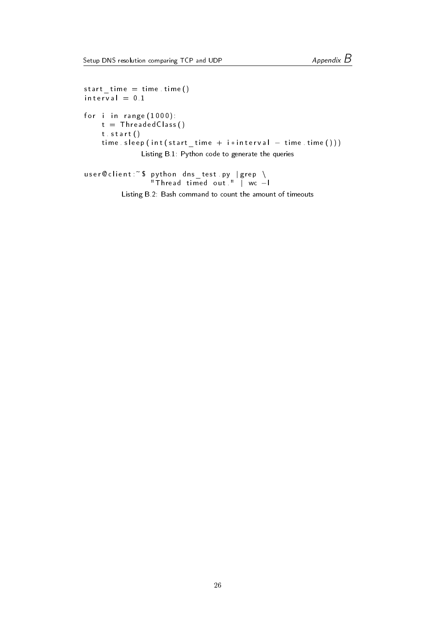```
start time = time . time ()interval = 0.1for i in range (1000):
    t =ThreadedClass()
    t start ()
    time s leep (int (start _time + i* interval - time time ()))
              Listing B.1: Python code to generate the queries
```

```
user @client :~$ python dns_test .py |grep \
                "⊤hread timed out " | wc —l
```
Listing B.2: Bash command to count the amount of timeouts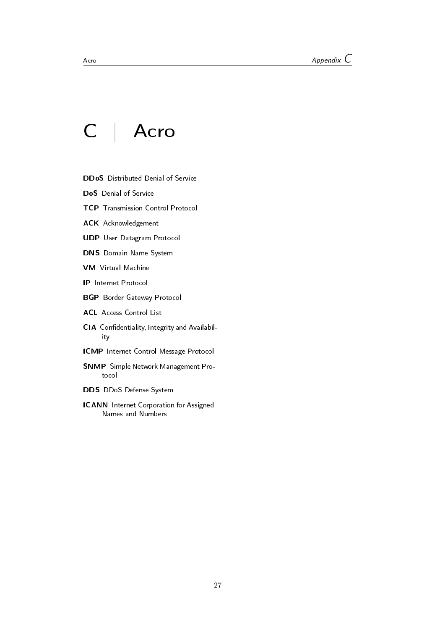# C | Acro

- <span id="page-27-7"></span><span id="page-27-0"></span>DDoS Distributed Denial of Service
- <span id="page-27-9"></span>DoS Denial of Service
- <span id="page-27-5"></span>TCP Transmission Control Protocol
- <span id="page-27-13"></span>ACK Acknowledgement
- <span id="page-27-4"></span>UDP User Datagram Protocol
- <span id="page-27-1"></span>DNS Domain Name System
- <span id="page-27-10"></span>VM Virtual Machine
- <span id="page-27-2"></span>IP Internet Protocol
- <span id="page-27-14"></span>BGP Border Gateway Protocol
- <span id="page-27-3"></span>ACL Access Control List
- <span id="page-27-12"></span>CIA Confidentiality, Integrity and Availability
- <span id="page-27-15"></span>ICMP Internet Control Message Protocol
- <span id="page-27-11"></span>SNMP Simple Network Management Protocol
- <span id="page-27-8"></span>DDS DDoS Defense System
- <span id="page-27-6"></span>ICANN Internet Corporation for Assigned Names and Numbers